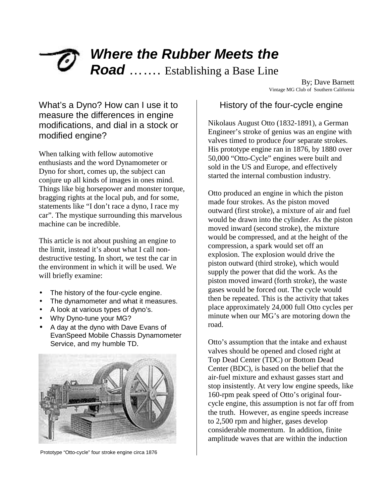# *Where the Rubber Meets the Road* ……. Establishing a Base Line<br>By; Dave Barnett

Vintage MG Club of Southern California

## What's a Dyno? How can I use it to measure the differences in engine modifications, and dial in a stock or modified engine?

When talking with fellow automotive enthusiasts and the word Dynamometer or Dyno for short, comes up, the subject can conjure up all kinds of images in ones mind. Things like big horsepower and monster torque, bragging rights at the local pub, and for some, statements like "I don't race a dyno, I race my car". The mystique surrounding this marvelous machine can be incredible.

This article is not about pushing an engine to the limit, instead it's about what I call nondestructive testing. In short, we test the car in the environment in which it will be used. We will briefly examine:

- The history of the four-cycle engine.
- The dynamometer and what it measures.
- A look at various types of dyno's.
- Why Dyno-tune your MG?
- A day at the dyno with Dave Evans of EvanSpeed Mobile Chassis Dynamometer Service, and my humble TD.



Prototype "Otto-cycle" four stroke engine circa 1876

#### History of the four-cycle engine

Nikolaus August Otto (1832-1891), a German Engineer's stroke of genius was an engine with valves timed to produce *four* separate strokes. His prototype engine ran in 1876, by 1880 over 50,000 "Otto-Cycle" engines were built and sold in the US and Europe, and effectively started the internal combustion industry.

Otto produced an engine in which the piston made four strokes. As the piston moved outward (first stroke), a mixture of air and fuel would be drawn into the cylinder. As the piston moved inward (second stroke), the mixture would be compressed, and at the height of the compression, a spark would set off an explosion. The explosion would drive the piston outward (third stroke), which would supply the power that did the work. As the piston moved inward (forth stroke), the waste gases would be forced out. The cycle would then be repeated. This is the activity that takes place approximately 24,000 full Otto cycles per minute when our MG's are motoring down the road.

Otto's assumption that the intake and exhaust valves should be opened and closed right at Top Dead Center (TDC) or Bottom Dead Center (BDC), is based on the belief that the air-fuel mixture and exhaust gasses start and stop insistently. At very low engine speeds, like 160-rpm peak speed of Otto's original fourcycle engine, this assumption is not far off from the truth. However, as engine speeds increase to 2,500 rpm and higher, gases develop considerable momentum. In addition, finite amplitude waves that are within the induction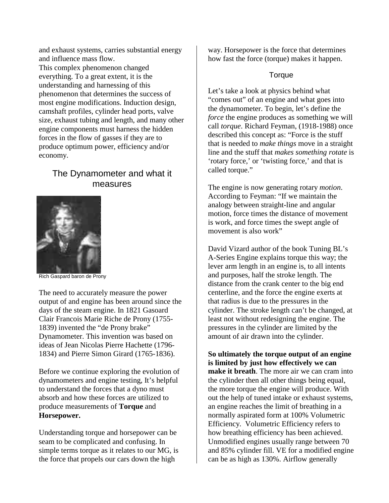and exhaust systems, carries substantial energy and influence mass flow.

This complex phenomenon changed everything. To a great extent, it is the understanding and harnessing of this phenomenon that determines the success of most engine modifications. Induction design, camshaft profiles, cylinder head ports, valve size, exhaust tubing and length, and many other engine components must harness the hidden forces in the flow of gasses if they are to produce optimum power, efficiency and/or economy.

## The Dynamometer and what it measures



Rich Gaspard baron de Prony

The need to accurately measure the power output of and engine has been around since the days of the steam engine. In 1821 Gasoard Clair Francois Marie Riche de Prony (1755- 1839) invented the "de Prony brake" Dynamometer. This invention was based on ideas of Jean Nicolas Pierre Hachette (1796- 1834) and Pierre Simon Girard (1765-1836).

Before we continue exploring the evolution of dynamometers and engine testing, It's helpful to understand the forces that a dyno must absorb and how these forces are utilized to produce measurements of **Torque** and **Horsepower.** 

Understanding torque and horsepower can be seam to be complicated and confusing. In simple terms torque as it relates to our MG, is the force that propels our cars down the high

way. Horsepower is the force that determines how fast the force (torque) makes it happen.

#### **Torque**

Let's take a look at physics behind what "comes out" of an engine and what goes into the dynamometer. To begin, let's define the *force* the engine produces as something we will call *torque*. Richard Feyman, (1918-1988) once described this concept as: "Force is the stuff that is needed to *make things* move in a straight line and the stuff that *makes something rotate* is 'rotary force,' or 'twisting force,' and that is called torque."

The engine is now generating rotary *motion*. According to Feyman: "If we maintain the analogy between straight-line and angular motion, force times the distance of movement is work, and force times the swept angle of movement is also work"

David Vizard author of the book Tuning BL's A-Series Engine explains torque this way; the lever arm length in an engine is, to all intents and purposes, half the stroke length. The distance from the crank center to the big end centerline, and the force the engine exerts at that radius is due to the pressures in the cylinder. The stroke length can't be changed, at least not without redesigning the engine. The pressures in the cylinder are limited by the amount of air drawn into the cylinder.

**So ultimately the torque output of an engine is limited by just how effectively we can make it breath**. The more air we can cram into the cylinder then all other things being equal, the more torque the engine will produce. With out the help of tuned intake or exhaust systems, an engine reaches the limit of breathing in a normally aspirated form at 100% Volumetric Efficiency. Volumetric Efficiency refers to how breathing efficiency has been achieved. Unmodified engines usually range between 70 and 85% cylinder fill. VE for a modified engine can be as high as 130%. Airflow generally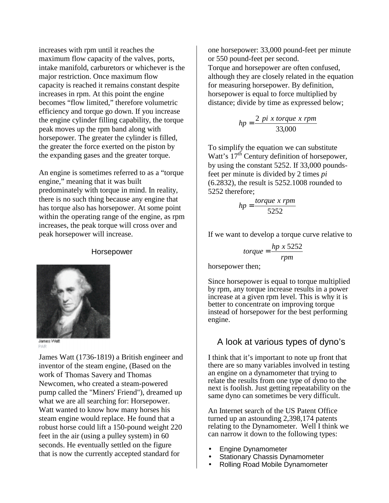increases with rpm until it reaches the maximum flow capacity of the valves, ports, intake manifold, carburetors or whichever is the major restriction. Once maximum flow capacity is reached it remains constant despite increases in rpm. At this point the engine becomes "flow limited," therefore volumetric efficiency and torque go down. If you increase the engine cylinder filling capability, the torque peak moves up the rpm band along with horsepower. The greater the cylinder is filled, the greater the force exerted on the piston by the expanding gases and the greater torque.

An engine is sometimes referred to as a "torque engine," meaning that it was built predominately with torque in mind. In reality, there is no such thing because any engine that has torque also has horsepower. At some point within the operating range of the engine, as rpm increases, the peak torque will cross over and peak horsepower will increase.

#### Horsepower



PAR

James Watt (1736-1819) a British engineer and inventor of the steam engine, (Based on the work of Thomas Savery and Thomas Newcomen, who created a steam-powered pump called the "Miners' Friend"), dreamed up what we are all searching for: Horsepower. Watt wanted to know how many horses his steam engine would replace. He found that a robust horse could lift a 150-pound weight 220 feet in the air (using a pulley system) in 60 seconds. He eventually settled on the figure that is now the currently accepted standard for

one horsepower: 33,000 pound-feet per minute or 550 pound-feet per second. Torque and horsepower are often confused, although they are closely related in the equation for measuring horsepower. By definition, horsepower is equal to force multiplied by distance; divide by time as expressed below;

$$
hp = \frac{2\pi p i \times torque \times rpm}{33,000}
$$

To simplify the equation we can substitute Watt's 17<sup>th</sup> Century definition of horsepower, by using the constant 5252. If 33,000 poundsfeet per minute is divided by 2 times *pi* (6.2832), the result is 5252.1008 rounded to 5252 therefore;

$$
hp = \frac{torque \; x \; rpm}{5252}
$$

If we want to develop a torque curve relative to

$$
torque = \frac{hp \times 5252}{rpm}
$$

horsepower then;

Since horsepower is equal to torque multiplied by rpm, any torque increase results in a power increase at a given rpm level. This is why it is better to concentrate on improving torque instead of horsepower for the best performing engine.

#### A look at various types of dyno's

I think that it's important to note up front that there are so many variables involved in testing an engine on a dynamometer that trying to relate the results from one type of dyno to the next is foolish. Just getting repeatability on the same dyno can sometimes be very difficult.

An Internet search of the US Patent Office turned up an astounding 2,398,174 patents relating to the Dynamometer. Well I think we can narrow it down to the following types:

- Engine Dynamometer
- Stationary Chassis Dynamometer
- Rolling Road Mobile Dynamometer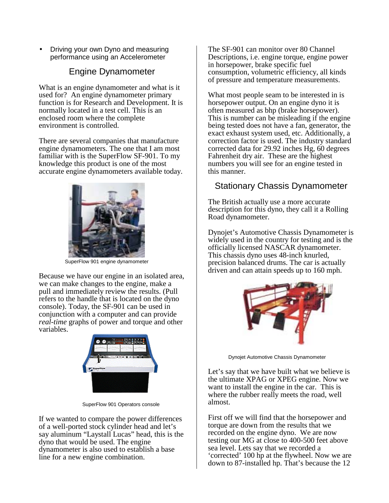• Driving your own Dyno and measuring performance using an Accelerometer

### Engine Dynamometer

What is an engine dynamometer and what is it used for? An engine dynamometer primary function is for Research and Development. It is normally located in a test cell. This is an enclosed room where the complete environment is controlled.

There are several companies that manufacture engine dynamometers. The one that I am most familiar with is the SuperFlow SF-901. To my knowledge this product is one of the most accurate engine dynamometers available today.



SuperFlow 901 engine dynamometer

Because we have our engine in an isolated area, we can make changes to the engine, make a pull and immediately review the results. (Pull refers to the handle that is located on the dyno console). Today, the SF-901 can be used in conjunction with a computer and can provide *real-time* graphs of power and torque and other variables.



SuperFlow 901 Operators console

If we wanted to compare the power differences of a well-ported stock cylinder head and let's say aluminum "Laystall Lucas" head, this is the dyno that would be used. The engine dynamometer is also used to establish a base line for a new engine combination.

The SF-901 can monitor over 80 Channel Descriptions, i.e. engine torque, engine power in horsepower, brake specific fuel consumption, volumetric efficiency, all kinds of pressure and temperature measurements.

What most people seam to be interested in is horsepower output. On an engine dyno it is often measured as bhp (brake horsepower). This is number can be misleading if the engine being tested does not have a fan, generator, the exact exhaust system used, etc. Additionally, a correction factor is used. The industry standard corrected data for 29.92 inches Hg, 60 degrees Fahrenheit dry air. These are the highest numbers you will see for an engine tested in this manner.

# Stationary Chassis Dynamometer

The British actually use a more accurate description for this dyno, they call it a Rolling Road dynamometer.

Dynojet's Automotive Chassis Dynamometer is widely used in the country for testing and is the officially licensed NASCAR dynamometer. This chassis dyno uses 48-inch knurled, precision balanced drums. The car is actually driven and can attain speeds up to 160 mph.



Dynojet Automotive Chassis Dynamometer

Let's say that we have built what we believe is the ultimate XPAG or XPEG engine. Now we want to install the engine in the car. This is where the rubber really meets the road, well almost.

First off we will find that the horsepower and torque are down from the results that we recorded on the engine dyno. We are now testing our MG at close to 400-500 feet above sea level. Lets say that we recorded a 'corrected' 100 hp at the flywheel. Now we are down to 87-installed hp. That's because the 12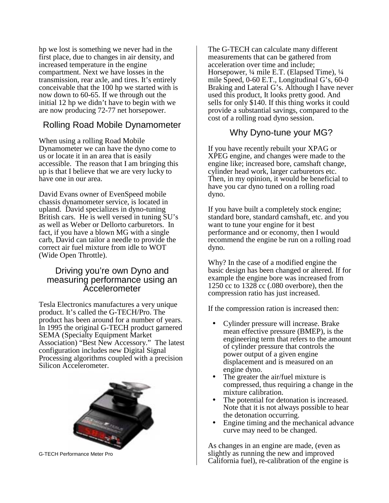hp we lost is something we never had in the first place, due to changes in air density, and increased temperature in the engine compartment. Next we have losses in the transmission, rear axle, and tires. It's entirely conceivable that the 100 hp we started with is now down to 60-65. If we through out the initial 12 hp we didn't have to begin with we are now producing 72-77 net horsepower.

### Rolling Road Mobile Dynamometer

When using a rolling Road Mobile Dynamometer we can have the dyno come to us or locate it in an area that is easily accessible. The reason that I am bringing this up is that I believe that we are very lucky to have one in our area.

David Evans owner of EvenSpeed mobile chassis dynamometer service, is located in upland. David specializes in dyno-tuning British cars. He is well versed in tuning SU's as well as Weber or Dellorto carburetors. In fact, if you have a blown MG with a single carb, David can tailor a needle to provide the correct air fuel mixture from idle to WOT (Wide Open Throttle).

#### Driving you're own Dyno and measuring performance using an Accelerometer

Tesla Electronics manufactures a very unique product. It's called the G-TECH/Pro. The product has been around for a number of years. In 1995 the original G-TECH product garnered SEMA (Specialty Equipment Market Association) "Best New Accessory." The latest configuration includes new Digital Signal Processing algorithms coupled with a precision Silicon Accelerometer.



G-TECH Performance Meter Pro

The G-TECH can calculate many different measurements that can be gathered from acceleration over time and include; Horsepower, ¼ mile E.T. (Elapsed Time), ¼ mile Speed, 0-60 E.T., Longitudinal G's, 60-0 Braking and Lateral G's. Although I have never used this product, It looks pretty good. And sells for only \$140. If this thing works it could provide a substantial savings, compared to the cost of a rolling road dyno session.

#### Why Dyno-tune your MG?

If you have recently rebuilt your XPAG or XPEG engine, and changes were made to the engine like; increased bore, camshaft change, cylinder head work, larger carburetors etc. Then, in my opinion, it would be beneficial to have you car dyno tuned on a rolling road dyno.

If you have built a completely stock engine; standard bore, standard camshaft, etc. and you want to tune your engine for it best performance and or economy, then I would recommend the engine be run on a rolling road dyno.

Why? In the case of a modified engine the basic design has been changed or altered. If for example the engine bore was increased from 1250 cc to 1328 cc (.080 overbore), then the compression ratio has just increased.

If the compression ration is increased then:

- Cylinder pressure will increase. Brake mean effective pressure (BMEP), is the engineering term that refers to the amount of cylinder pressure that controls the power output of a given engine displacement and is measured on an engine dyno.
- The greater the air/fuel mixture is compressed, thus requiring a change in the mixture calibration.
- The potential for detonation is increased. Note that it is not always possible to hear the detonation occurring.
- Engine timing and the mechanical advance curve may need to be changed.

As changes in an engine are made, (even as slightly as running the new and improved California fuel), re-calibration of the engine is